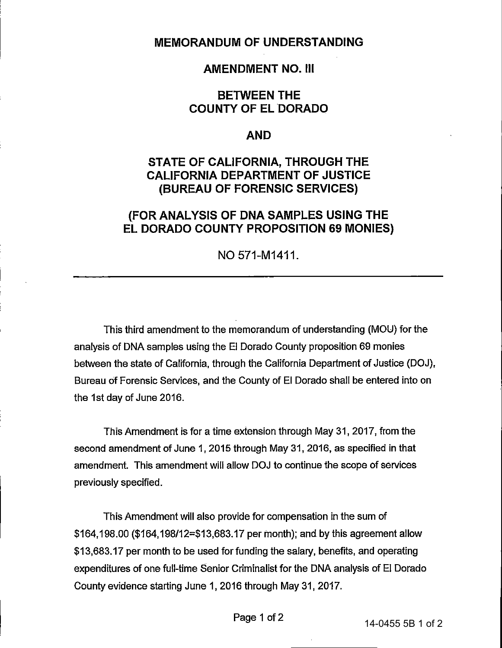### MEMORANDUM OF UNDERSTANDING

#### AMENDMENT NO. Ill

### BETWEEN THE COUNTY OF EL DORADO

### AND

# STATE OF CALIFORNIA, THROUGH THE CALIFORNIA DEPARTMENT OF JUSTICE (BUREAU OF FORENSIC SERVICES)

## (FOR ANALYSIS OF DNA SAMPLES USING THE EL DORADO COUNTY PROPOSITION 69 MONIES)

NO 571-M1411.

This third amendment to the memorandum of understanding (MOU) for the analysis of DNA samples using the El Dorado County proposition 69 monies between the state of California, through the California Department of Justice (DOJ), Bureau of Forensic Services, and the County of El Dorado shall be entered into on the 1st day of June 2016.

This Amendment is for a time extension through May 31, 2017, from the second amendment of June 1, 2015 through May 31, 2016, as specified in that amendment. This amendment will allow DOJ to continue the scope of services previously specified.

This Amendment will also provide for compensation in the sum of \$164,198.00 (\$164,198/12=\$13,683.17 per month); and by this agreement allow \$13,683.17 per month to be used for funding the salary, benefits, and operating expenditures of one full-time Senior Criminalist for the DNA analysis of El Dorado County evidence starting June 1, 2016 through May 31, 2017.